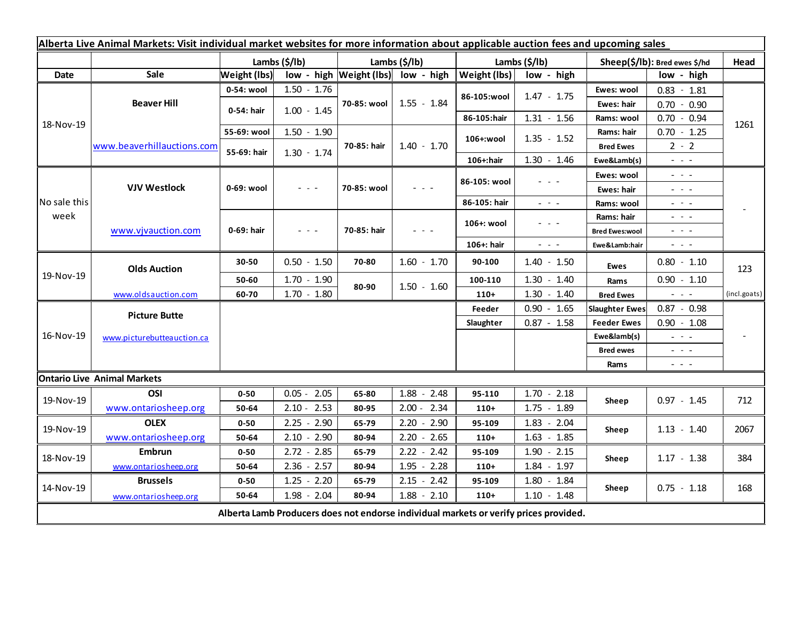| Alberta Live Animal Markets: Visit individual market websites for more information about applicable auction fees and upcoming sales |                            |                           |                                                                                                                        |                           |                                         |                       |                         |                               |                                                                                                                                                                                                                                                                                                                                                                                                                                                |              |
|-------------------------------------------------------------------------------------------------------------------------------------|----------------------------|---------------------------|------------------------------------------------------------------------------------------------------------------------|---------------------------|-----------------------------------------|-----------------------|-------------------------|-------------------------------|------------------------------------------------------------------------------------------------------------------------------------------------------------------------------------------------------------------------------------------------------------------------------------------------------------------------------------------------------------------------------------------------------------------------------------------------|--------------|
|                                                                                                                                     |                            | Lambs $(\frac{2}{3})$ lb) |                                                                                                                        | Lambs $(\frac{2}{3})$ lb) |                                         | Lambs $(\frac{2}{3})$ |                         | Sheep(\$/lb): Bred ewes \$/hd |                                                                                                                                                                                                                                                                                                                                                                                                                                                | Head         |
| <b>Date</b>                                                                                                                         | Sale                       | <b>Weight (lbs)</b>       |                                                                                                                        |                           | $low - high$   Weight (lbs)  low - high | Weight (lbs)          | low - high              |                               | low - high                                                                                                                                                                                                                                                                                                                                                                                                                                     |              |
| 18-Nov-19                                                                                                                           | <b>Beaver Hill</b>         | 0-54: wool                | $1.50 - 1.76$                                                                                                          | 70-85: wool               | $1.55 - 1.84$                           | 86-105:wool           | $1.47 - 1.75$           | Ewes: wool                    | $0.83 - 1.81$                                                                                                                                                                                                                                                                                                                                                                                                                                  |              |
|                                                                                                                                     |                            | 0-54: hair                | $1.00 - 1.45$                                                                                                          |                           |                                         |                       |                         | Ewes: hair                    | $0.70 - 0.90$                                                                                                                                                                                                                                                                                                                                                                                                                                  |              |
|                                                                                                                                     |                            |                           |                                                                                                                        |                           |                                         | 86-105:hair           | $1.31 - 1.56$           | Rams: wool                    | $0.70 - 0.94$                                                                                                                                                                                                                                                                                                                                                                                                                                  | 1261         |
|                                                                                                                                     | www.beaverhillauctions.com | 55-69: wool               | $1.50 - 1.90$                                                                                                          | 70-85: hair               | $1.40 - 1.70$                           | 106+:wool             | $1.35 - 1.52$           | Rams: hair                    | $0.70 - 1.25$                                                                                                                                                                                                                                                                                                                                                                                                                                  |              |
|                                                                                                                                     |                            | 55-69: hair               | $1.30 - 1.74$                                                                                                          |                           |                                         |                       |                         | <b>Bred Ewes</b>              | $2 - 2$                                                                                                                                                                                                                                                                                                                                                                                                                                        |              |
|                                                                                                                                     |                            |                           |                                                                                                                        |                           |                                         | 106+:hair             | $1.30 - 1.46$           | Ewe&Lamb(s)                   | $  -$                                                                                                                                                                                                                                                                                                                                                                                                                                          |              |
| No sale this<br>week                                                                                                                | <b>VJV Westlock</b>        | 0-69: wool                | $\frac{1}{2} \left( \frac{1}{2} \right) \frac{1}{2} \left( \frac{1}{2} \right) \frac{1}{2} \left( \frac{1}{2} \right)$ | 70-85: wool               | $  -$                                   | 86-105: wool          | - - -                   | Ewes: wool                    | $  -$                                                                                                                                                                                                                                                                                                                                                                                                                                          |              |
|                                                                                                                                     |                            |                           |                                                                                                                        |                           |                                         |                       |                         | Ewes: hair                    | $\omega_{\rm{eff}}=0.1$                                                                                                                                                                                                                                                                                                                                                                                                                        |              |
|                                                                                                                                     |                            |                           |                                                                                                                        |                           |                                         | 86-105: hair          | $\omega_{\rm{eff}}=0.1$ | Rams: wool                    | $\frac{1}{2} \left( \frac{1}{2} \right) \frac{1}{2} \left( \frac{1}{2} \right) \frac{1}{2} \left( \frac{1}{2} \right) \frac{1}{2} \left( \frac{1}{2} \right) \frac{1}{2} \left( \frac{1}{2} \right) \frac{1}{2} \left( \frac{1}{2} \right) \frac{1}{2} \left( \frac{1}{2} \right) \frac{1}{2} \left( \frac{1}{2} \right) \frac{1}{2} \left( \frac{1}{2} \right) \frac{1}{2} \left( \frac{1}{2} \right) \frac{1}{2} \left( \frac{1}{2} \right)$ |              |
|                                                                                                                                     | www.vjvauction.com         | 0-69: hair                | $\frac{1}{2} \left( \frac{1}{2} \right) \frac{1}{2} \left( \frac{1}{2} \right) \frac{1}{2} \left( \frac{1}{2} \right)$ | 70-85: hair               | $  -$                                   | 106+: wool            | - - -                   | Rams: hair                    | $\frac{1}{2} \left( \frac{1}{2} \right) \frac{1}{2} \left( \frac{1}{2} \right) \frac{1}{2} \left( \frac{1}{2} \right) \frac{1}{2} \left( \frac{1}{2} \right) \frac{1}{2} \left( \frac{1}{2} \right) \frac{1}{2} \left( \frac{1}{2} \right) \frac{1}{2} \left( \frac{1}{2} \right) \frac{1}{2} \left( \frac{1}{2} \right) \frac{1}{2} \left( \frac{1}{2} \right) \frac{1}{2} \left( \frac{1}{2} \right) \frac{1}{2} \left( \frac{1}{2} \right)$ |              |
|                                                                                                                                     |                            |                           |                                                                                                                        |                           |                                         |                       |                         | <b>Bred Ewes:wool</b>         | $\frac{1}{2} \left( \frac{1}{2} \right) \left( \frac{1}{2} \right) \left( \frac{1}{2} \right) \left( \frac{1}{2} \right)$                                                                                                                                                                                                                                                                                                                      |              |
|                                                                                                                                     |                            |                           |                                                                                                                        |                           |                                         | 106+: hair            | $\sim$ 10 $\sim$        | Ewe&Lamb:hair                 | $ -$                                                                                                                                                                                                                                                                                                                                                                                                                                           |              |
| 19-Nov-19                                                                                                                           | <b>Olds Auction</b>        | 30-50                     | $0.50 - 1.50$                                                                                                          | 70-80                     | $1.60 - 1.70$                           | 90-100                | $1.40 - 1.50$           | <b>Ewes</b>                   | $0.80 - 1.10$                                                                                                                                                                                                                                                                                                                                                                                                                                  | 123          |
|                                                                                                                                     |                            | 50-60                     | $1.70 - 1.90$                                                                                                          | 80-90                     | $1.50 - 1.60$                           | 100-110               | $1.30 - 1.40$           | Rams                          | $0.90 - 1.10$                                                                                                                                                                                                                                                                                                                                                                                                                                  |              |
|                                                                                                                                     | www.oldsauction.com        | 60-70                     | $1.70 - 1.80$                                                                                                          |                           |                                         | $110+$                | $1.30 - 1.40$           | <b>Bred Ewes</b>              | $\omega_{\rm{max}}$                                                                                                                                                                                                                                                                                                                                                                                                                            | (incl.goats) |
| 16-Nov-19                                                                                                                           | <b>Picture Butte</b>       |                           |                                                                                                                        |                           |                                         | Feeder                | $0.90 - 1.65$           | <b>Slaughter Ewes</b>         | $0.87 - 0.98$                                                                                                                                                                                                                                                                                                                                                                                                                                  |              |
|                                                                                                                                     | www.picturebutteauction.ca |                           |                                                                                                                        |                           | Slaughter                               | $0.87 - 1.58$         | <b>Feeder Ewes</b>      | $0.90 - 1.08$                 |                                                                                                                                                                                                                                                                                                                                                                                                                                                |              |
|                                                                                                                                     |                            |                           |                                                                                                                        |                           |                                         |                       |                         | Ewe&lamb(s)                   | $\sim$ 100 $\sim$                                                                                                                                                                                                                                                                                                                                                                                                                              |              |
|                                                                                                                                     |                            |                           |                                                                                                                        |                           |                                         |                       |                         | <b>Bred ewes</b>              | $\sim$ 100 $\sim$                                                                                                                                                                                                                                                                                                                                                                                                                              |              |
|                                                                                                                                     |                            |                           |                                                                                                                        |                           |                                         |                       |                         | Rams                          | $\sim$ $ -$                                                                                                                                                                                                                                                                                                                                                                                                                                    |              |
| <b>Ontario Live Animal Markets</b>                                                                                                  |                            |                           |                                                                                                                        |                           |                                         |                       |                         |                               |                                                                                                                                                                                                                                                                                                                                                                                                                                                |              |
| 19-Nov-19                                                                                                                           | OSI                        | $0 - 50$                  | $0.05 - 2.05$                                                                                                          | 65-80                     | $1.88 - 2.48$                           | 95-110                | $1.70 - 2.18$           | Sheep                         | $0.97 - 1.45$                                                                                                                                                                                                                                                                                                                                                                                                                                  | 712          |
|                                                                                                                                     | www.ontariosheep.org       | 50-64                     | $2.10 - 2.53$                                                                                                          | 80-95                     | $2.00 - 2.34$                           | $110+$                | $1.75 - 1.89$           |                               |                                                                                                                                                                                                                                                                                                                                                                                                                                                |              |
| 19-Nov-19                                                                                                                           | <b>OLEX</b>                | $0 - 50$                  | $2.25 - 2.90$                                                                                                          | 65-79                     | $2.20 - 2.90$                           | 95-109                | $1.83 - 2.04$           | Sheep                         | $1.13 - 1.40$                                                                                                                                                                                                                                                                                                                                                                                                                                  | 2067         |
|                                                                                                                                     | www.ontariosheep.org       | 50-64                     | $2.10 - 2.90$                                                                                                          | 80-94                     | $2.20 - 2.65$                           | $110+$                | $1.63 - 1.85$           |                               |                                                                                                                                                                                                                                                                                                                                                                                                                                                |              |
| 18-Nov-19                                                                                                                           | <b>Embrun</b>              | $0 - 50$                  | $2.72 - 2.85$                                                                                                          | 65-79                     | $2.22 - 2.42$                           | 95-109                | $1.90 - 2.15$           | Sheep                         | $1.17 - 1.38$                                                                                                                                                                                                                                                                                                                                                                                                                                  | 384          |
|                                                                                                                                     | www.ontariosheep.org       | 50-64                     | $2.36 - 2.57$                                                                                                          | 80-94                     | $1.95 - 2.28$                           | $110+$                | $1.84 - 1.97$           |                               |                                                                                                                                                                                                                                                                                                                                                                                                                                                |              |
| 14-Nov-19                                                                                                                           | <b>Brussels</b>            | $0 - 50$                  | $1.25 - 2.20$                                                                                                          | 65-79                     | $2.15 - 2.42$                           | 95-109                | $1.80 - 1.84$           | Sheep                         | $0.75 - 1.18$                                                                                                                                                                                                                                                                                                                                                                                                                                  | 168          |
|                                                                                                                                     | www.ontariosheep.org       | 50-64                     | $1.98 - 2.04$                                                                                                          | 80-94                     | $1.88 - 2.10$                           | $110+$                | $1.10 - 1.48$           |                               |                                                                                                                                                                                                                                                                                                                                                                                                                                                |              |
| Alberta Lamb Producers does not endorse individual markets or verify prices provided.                                               |                            |                           |                                                                                                                        |                           |                                         |                       |                         |                               |                                                                                                                                                                                                                                                                                                                                                                                                                                                |              |